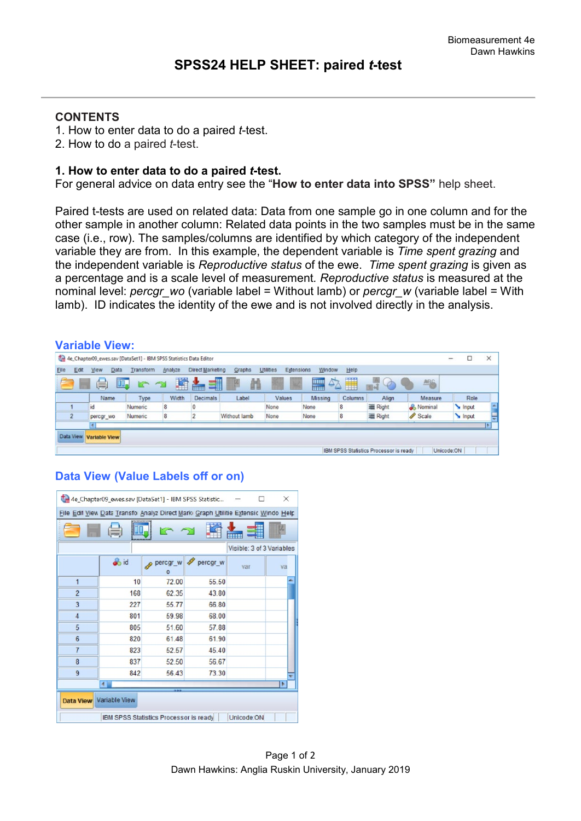# **CONTENTS**

- 1. How to enter data to do a paired *t*-test.
- 2. How to do a paired *t*-test.

### **1. How to enter data to do a paired** *t***-test.**

For general advice on data entry see the "**How to enter data into SPSS"** help sheet.

Paired t-tests are used on related data: Data from one sample go in one column and for the other sample in another column: Related data points in the two samples must be in the same case (i.e., row). The samples/columns are identified by which category of the independent variable they are from. In this example, the dependent variable is *Time spent grazing* and the independent variable is *Reproductive status* of the ewe. *Time spent grazing* is given as a percentage and is a scale level of measurement*. Reproductive status* is measured at the nominal level: *percgr\_wo* (variable label = Without lamb) or *percgr\_w* (variable label = With lamb). ID indicates the identity of the ewe and is not involved directly in the analysis.

#### **Variable View:**

|                                                                 |      |                            | 4e Chapter09_ewes.sav [DataSet1] - IBM SPSS Statistics Data Editor |         |                  |              |                         |         |         |                                        |           | -          |       | $\times$ |
|-----------------------------------------------------------------|------|----------------------------|--------------------------------------------------------------------|---------|------------------|--------------|-------------------------|---------|---------|----------------------------------------|-----------|------------|-------|----------|
| Elle                                                            | Edit | <b>Data</b><br><b>View</b> | Transform                                                          | Analyze | Direct Marketing | Graphs       | Utilities<br>Extensions | Window  | Help    |                                        |           |            |       |          |
| H<br>H<br>$\Delta$<br>譱<br>1<br>鼺<br>ABG<br>暠<br>II.<br>Ç<br>È. |      |                            |                                                                    |         |                  |              |                         |         |         |                                        |           |            |       |          |
|                                                                 |      | Name                       | Type                                                               | Width   | Decimals         | Label        | Values                  | Missing | Columns | Align                                  | Measure   |            | Role  |          |
|                                                                 |      | id                         | <b>Numeric</b>                                                     | 8       |                  |              | None                    | None    | 8       | Right                                  | & Nominal |            | Input |          |
|                                                                 |      | percgr wo                  | Numeric                                                            | 8       |                  | Without lamb | None                    | None    | 8       | 三 Right                                | Scale     |            | Input |          |
|                                                                 |      | 4                          |                                                                    |         |                  |              |                         |         |         |                                        |           |            |       |          |
| Data View                                                       |      | Variable View              |                                                                    |         |                  |              |                         |         |         |                                        |           |            |       |          |
|                                                                 |      |                            |                                                                    |         |                  |              |                         |         |         |                                        |           |            |       |          |
|                                                                 |      |                            |                                                                    |         |                  |              |                         |         |         | IBM SPSS Statistics Processor is ready |           | Unicode:ON |       |          |

# **Data View (Value Labels off or on)**

| 4e_Chapter09_ewes.sav [DataSet1] - IBM SPSS Statistic<br>$\times$                  |             |                     |          |     |    |  |  |  |  |
|------------------------------------------------------------------------------------|-------------|---------------------|----------|-----|----|--|--|--|--|
| File Edil View Data Transfo Analyz Direct Mark: Graph Utilitie Extensic Windo Help |             |                     |          |     |    |  |  |  |  |
|                                                                                    |             |                     |          |     |    |  |  |  |  |
| Visible: 3 of 3 Variables                                                          |             |                     |          |     |    |  |  |  |  |
|                                                                                    | <b>o</b> id | percgr_w<br>$\circ$ | percgr_w | var | va |  |  |  |  |
| $\overline{1}$                                                                     | 10          | 72.00               | 55.50    |     |    |  |  |  |  |
| $\overline{2}$                                                                     | 168         | 62 35               | 43.80    |     |    |  |  |  |  |
| 3                                                                                  | 227         | 55.77               | 66.80    |     |    |  |  |  |  |
| 4                                                                                  | 801         | 59.98               | 68.00    |     |    |  |  |  |  |
| 5                                                                                  | 805         | 51.60               | 57.88    |     |    |  |  |  |  |
| 6                                                                                  | 820         | 61.48               | 61.90    |     |    |  |  |  |  |
| $\overline{7}$                                                                     | 823         | 52 57               | 45 40    |     |    |  |  |  |  |
| 8                                                                                  | 837         | 52.50               | 56.67    |     |    |  |  |  |  |
| 9                                                                                  | 842         | 56.43               | 73.30    |     |    |  |  |  |  |
|                                                                                    | 41          |                     |          |     |    |  |  |  |  |
| Data View Variable View                                                            |             |                     |          |     |    |  |  |  |  |
| Unicode:ON<br>IBM SPSS Statistics Processor is ready                               |             |                     |          |     |    |  |  |  |  |